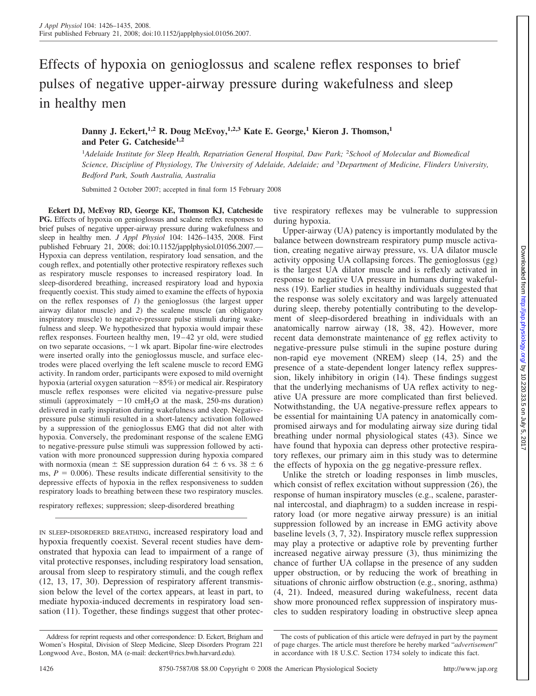# Effects of hypoxia on genioglossus and scalene reflex responses to brief pulses of negative upper-airway pressure during wakefulness and sleep in healthy men

Danny J. Eckert,<sup>1,2</sup> R. Doug McEvoy,<sup>1,2,3</sup> Kate E. George,<sup>1</sup> Kieron J. Thomson,<sup>1</sup> **and Peter G. Catcheside1,2**

<sup>1</sup>Adelaide Institute for Sleep Health, Repatriation General Hospital, Daw Park; <sup>2</sup>School of Molecular and Biomedical *Science, Discipline of Physiology, The University of Adelaide, Adelaide; and* <sup>3</sup> *Department of Medicine, Flinders University, Bedford Park, South Australia, Australia*

Submitted 2 October 2007; accepted in final form 15 February 2008

**Eckert DJ, McEvoy RD, George KE, Thomson KJ, Catcheside PG.** Effects of hypoxia on genioglossus and scalene reflex responses to brief pulses of negative upper-airway pressure during wakefulness and sleep in healthy men. *J Appl Physiol* 104: 1426–1435, 2008. First published February 21, 2008; doi:10.1152/japplphysiol.01056.2007.— Hypoxia can depress ventilation, respiratory load sensation, and the cough reflex, and potentially other protective respiratory reflexes such as respiratory muscle responses to increased respiratory load. In sleep-disordered breathing, increased respiratory load and hypoxia frequently coexist. This study aimed to examine the effects of hypoxia on the reflex responses of *1*) the genioglossus (the largest upper airway dilator muscle) and *2*) the scalene muscle (an obligatory inspiratory muscle) to negative-pressure pulse stimuli during wakefulness and sleep. We hypothesized that hypoxia would impair these reflex responses. Fourteen healthy men, 19-42 yr old, were studied on two separate occasions,  $\sim$  1 wk apart. Bipolar fine-wire electrodes were inserted orally into the genioglossus muscle, and surface electrodes were placed overlying the left scalene muscle to record EMG activity. In random order, participants were exposed to mild overnight hypoxia (arterial oxygen saturation  $\sim$ 85%) or medical air. Respiratory muscle reflex responses were elicited via negative-pressure pulse stimuli (approximately  $-10$  cmH<sub>2</sub>O at the mask, 250-ms duration) delivered in early inspiration during wakefulness and sleep. Negativepressure pulse stimuli resulted in a short-latency activation followed by a suppression of the genioglossus EMG that did not alter with hypoxia. Conversely, the predominant response of the scalene EMG to negative-pressure pulse stimuli was suppression followed by activation with more pronounced suppression during hypoxia compared with normoxia (mean  $\pm$  SE suppression duration 64  $\pm$  6 vs. 38  $\pm$  6 ms,  $P = 0.006$ ). These results indicate differential sensitivity to the depressive effects of hypoxia in the reflex responsiveness to sudden respiratory loads to breathing between these two respiratory muscles.

respiratory reflexes; suppression; sleep-disordered breathing

IN SLEEP-DISORDERED BREATHING, increased respiratory load and hypoxia frequently coexist. Several recent studies have demonstrated that hypoxia can lead to impairment of a range of vital protective responses, including respiratory load sensation, arousal from sleep to respiratory stimuli, and the cough reflex (12, 13, 17, 30). Depression of respiratory afferent transmission below the level of the cortex appears, at least in part, to mediate hypoxia-induced decrements in respiratory load sensation (11). Together, these findings suggest that other protective respiratory reflexes may be vulnerable to suppression during hypoxia.

Upper-airway (UA) patency is importantly modulated by the balance between downstream respiratory pump muscle activation, creating negative airway pressure, vs. UA dilator muscle activity opposing UA collapsing forces. The genioglossus (gg) is the largest UA dilator muscle and is reflexly activated in response to negative UA pressure in humans during wakefulness (19). Earlier studies in healthy individuals suggested that the response was solely excitatory and was largely attenuated during sleep, thereby potentially contributing to the development of sleep-disordered breathing in individuals with an anatomically narrow airway (18, 38, 42). However, more recent data demonstrate maintenance of gg reflex activity to negative-pressure pulse stimuli in the supine posture during non-rapid eye movement (NREM) sleep (14, 25) and the presence of a state-dependent longer latency reflex suppression, likely inhibitory in origin (14). These findings suggest that the underlying mechanisms of UA reflex activity to negative UA pressure are more complicated than first believed. Notwithstanding, the UA negative-pressure reflex appears to be essential for maintaining UA patency in anatomically compromised airways and for modulating airway size during tidal breathing under normal physiological states (43). Since we have found that hypoxia can depress other protective respiratory reflexes, our primary aim in this study was to determine the effects of hypoxia on the gg negative-pressure reflex.

Unlike the stretch or loading responses in limb muscles, which consist of reflex excitation without suppression (26), the response of human inspiratory muscles (e.g., scalene, parasternal intercostal, and diaphragm) to a sudden increase in respiratory load (or more negative airway pressure) is an initial suppression followed by an increase in EMG activity above baseline levels (3, 7, 32). Inspiratory muscle reflex suppression may play a protective or adaptive role by preventing further increased negative airway pressure (3), thus minimizing the chance of further UA collapse in the presence of any sudden upper obstruction, or by reducing the work of breathing in situations of chronic airflow obstruction (e.g., snoring, asthma) (4, 21). Indeed, measured during wakefulness, recent data show more pronounced reflex suppression of inspiratory muscles to sudden respiratory loading in obstructive sleep apnea

Address for reprint requests and other correspondence: D. Eckert, Brigham and Women's Hospital, Division of Sleep Medicine, Sleep Disorders Program 221 Longwood Ave., Boston, MA (e-mail: deckert@rics.bwh.harvard.edu).

The costs of publication of this article were defrayed in part by the payment of page charges. The article must therefore be hereby marked "*advertisement*" in accordance with 18 U.S.C. Section 1734 solely to indicate this fact.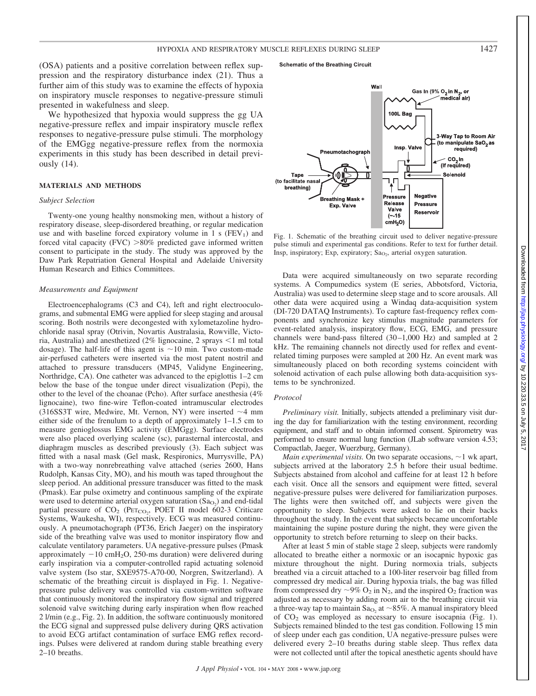(OSA) patients and a positive correlation between reflex suppression and the respiratory disturbance index (21). Thus a further aim of this study was to examine the effects of hypoxia on inspiratory muscle responses to negative-pressure stimuli presented in wakefulness and sleep.

We hypothesized that hypoxia would suppress the gg UA negative-pressure reflex and impair inspiratory muscle reflex responses to negative-pressure pulse stimuli. The morphology of the EMGgg negative-pressure reflex from the normoxia experiments in this study has been described in detail previously (14).

### **MATERIALS AND METHODS**

#### *Subject Selection*

Twenty-one young healthy nonsmoking men, without a history of respiratory disease, sleep-disordered breathing, or regular medication use and with baseline forced expiratory volume in 1 s  $(FEV_1)$  and forced vital capacity (FVC)  $>80\%$  predicted gave informed written consent to participate in the study. The study was approved by the Daw Park Repatriation General Hospital and Adelaide University Human Research and Ethics Committees.

#### *Measurements and Equipment*

Electroencephalograms (C3 and C4), left and right electrooculograms, and submental EMG were applied for sleep staging and arousal scoring. Both nostrils were decongested with xylometazoline hydrochloride nasal spray (Otrivin, Novartis Australasia, Rowville, Victoria, Australia) and anesthetized  $(2\%$  lignocaine, 2 sprays  $\leq 1$  ml total dosage). The half-life of this agent is  $\sim$ 10 min. Two custom-made air-perfused catheters were inserted via the most patent nostril and attached to pressure transducers (MP45, Validyne Engineering, Northridge, CA). One catheter was advanced to the epiglottis 1–2 cm below the base of the tongue under direct visualization (Pepi), the other to the level of the choanae (Pcho). After surface anesthesia (4% lignocaine), two fine-wire Teflon-coated intramuscular electrodes (316SS3T wire, Medwire, Mt. Vernon, NY) were inserted  $\sim$ 4 mm either side of the frenulum to a depth of approximately 1–1.5 cm to measure genioglossus EMG activity (EMGgg). Surface electrodes were also placed overlying scalene (sc), parasternal intercostal, and diaphragm muscles as described previously (3). Each subject was fitted with a nasal mask (Gel mask, Respironics, Murrysville, PA) with a two-way nonrebreathing valve attached (series 2600, Hans Rudolph, Kansas City, MO), and his mouth was taped throughout the sleep period. An additional pressure transducer was fitted to the mask (Pmask). Ear pulse oximetry and continuous sampling of the expirate were used to determine arterial oxygen saturation  $(Sa<sub>O</sub>)$  and end-tidal partial pressure of CO<sub>2</sub> (PET<sub>CO<sub>2</sub>, POET II model 602-3 Criticare</sub> Systems, Waukesha, WI), respectively. ECG was measured continuously. A pneumotachograph (PT36, Erich Jaeger) on the inspiratory side of the breathing valve was used to monitor inspiratory flow and calculate ventilatory parameters. UA negative-pressure pulses (Pmask approximately  $-10$  cmH<sub>2</sub>O, 250-ms duration) were delivered during early inspiration via a computer-controlled rapid actuating solenoid valve system (Iso star, SXE9575-A70-00, Norgren, Switzerland). A schematic of the breathing circuit is displayed in Fig. 1. Negativepressure pulse delivery was controlled via custom-written software that continuously monitored the inspiratory flow signal and triggered solenoid valve switching during early inspiration when flow reached 2 l/min (e.g., Fig. 2). In addition, the software continuously monitored the ECG signal and suppressed pulse delivery during QRS activation to avoid ECG artifact contamination of surface EMG reflex recordings. Pulses were delivered at random during stable breathing every 2–10 breaths.

#### **Schematic of the Breathing Circuit**



Fig. 1. Schematic of the breathing circuit used to deliver negative-pressure pulse stimuli and experimental gas conditions. Refer to text for further detail. Insp, inspiratory; Exp, expiratory; Sa<sub>O2</sub>, arterial oxygen saturation.

Data were acquired simultaneously on two separate recording systems. A Compumedics system (E series, Abbotsford, Victoria, Australia) was used to determine sleep stage and to score arousals. All other data were acquired using a Windaq data-acquisition system (DI-720 DATAQ Instruments). To capture fast-frequency reflex components and synchronize key stimulus magnitude parameters for event-related analysis, inspiratory flow, ECG, EMG, and pressure channels were band-pass filtered (30-1,000 Hz) and sampled at 2 kHz. The remaining channels not directly used for reflex and eventrelated timing purposes were sampled at 200 Hz. An event mark was simultaneously placed on both recording systems coincident with solenoid activation of each pulse allowing both data-acquisition systems to be synchronized.

#### *Protocol*

*Preliminary visit.* Initially, subjects attended a preliminary visit during the day for familiarization with the testing environment, recording equipment, and staff and to obtain informed consent. Spirometry was performed to ensure normal lung function (JLab software version 4.53; Compactlab, Jaeger, Wuerzburg, Germany).

*Main experimental visits.* On two separate occasions,  $\sim$  1 wk apart, subjects arrived at the laboratory 2.5 h before their usual bedtime. Subjects abstained from alcohol and caffeine for at least 12 h before each visit. Once all the sensors and equipment were fitted, several negative-pressure pulses were delivered for familiarization purposes. The lights were then switched off, and subjects were given the opportunity to sleep. Subjects were asked to lie on their backs throughout the study. In the event that subjects became uncomfortable maintaining the supine posture during the night, they were given the opportunity to stretch before returning to sleep on their backs.

After at least 5 min of stable stage 2 sleep, subjects were randomly allocated to breathe either a normoxic or an isocapnic hypoxic gas mixture throughout the night. During normoxia trials, subjects breathed via a circuit attached to a 100-liter reservoir bag filled from compressed dry medical air. During hypoxia trials, the bag was filled from compressed dry  $\sim$ 9% O<sub>2</sub> in N<sub>2</sub>, and the inspired O<sub>2</sub> fraction was adjusted as necessary by adding room air to the breathing circuit via a three-way tap to maintain  $Sa<sub>O</sub>$ , at ~85%. A manual inspiratory bleed of  $CO<sub>2</sub>$  was employed as necessary to ensure isocapnia (Fig. 1). Subjects remained blinded to the test gas condition. Following 15 min of sleep under each gas condition, UA negative-pressure pulses were delivered every 2–10 breaths during stable sleep. Thus reflex data were not collected until after the topical anesthetic agents should have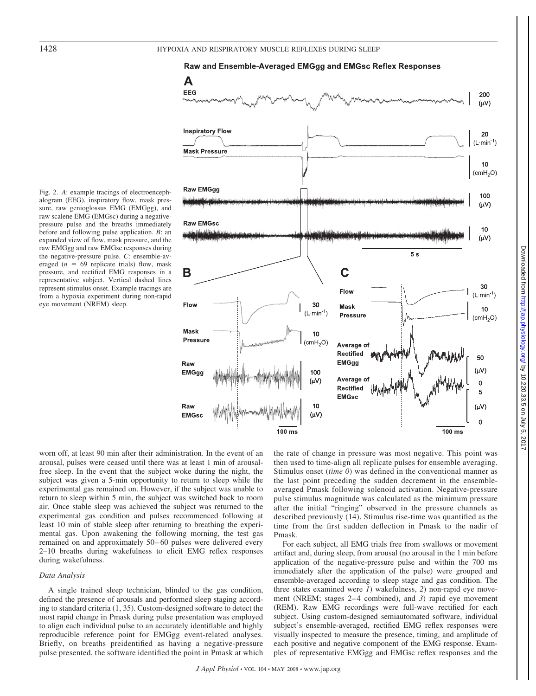# 1428 HYPOXIA AND RESPIRATORY MUSCLE REFLEXES DURING SLEEP



Fig. 2. *A*: example tracings of electroencephalogram (EEG), inspiratory flow, mask pressure, raw genioglossus EMG (EMGgg), and raw scalene EMG (EMGsc) during a negativepressure pulse and the breaths immediately before and following pulse application. *B*: an expanded view of flow, mask pressure, and the raw EMGgg and raw EMGsc responses during the negative-pressure pulse. *C*: ensemble-averaged  $(n = 69$  replicate trials) flow, mask pressure, and rectified EMG responses in a representative subject. Vertical dashed lines represent stimulus onset. Example tracings are from a hypoxia experiment during non-rapid eye movement (NREM) sleep.



the rate of change in pressure was most negative. This point was then used to time-align all replicate pulses for ensemble averaging. Stimulus onset (*time 0*) was defined in the conventional manner as the last point preceding the sudden decrement in the ensembleaveraged Pmask following solenoid activation. Negative-pressure pulse stimulus magnitude was calculated as the minimum pressure after the initial "ringing" observed in the pressure channels as described previously (14). Stimulus rise-time was quantified as the time from the first sudden deflection in Pmask to the nadir of Pmask.

For each subject, all EMG trials free from swallows or movement artifact and, during sleep, from arousal (no arousal in the 1 min before application of the negative-pressure pulse and within the 700 ms immediately after the application of the pulse) were grouped and ensemble-averaged according to sleep stage and gas condition. The three states examined were *1*) wakefulness, *2*) non-rapid eye movement (NREM; stages 2–4 combined), and 3) rapid eye movement (REM). Raw EMG recordings were full-wave rectified for each subject. Using custom-designed semiautomated software, individual subject's ensemble-averaged, rectified EMG reflex responses were visually inspected to measure the presence, timing, and amplitude of each positive and negative component of the EMG response. Examples of representative EMGgg and EMGsc reflex responses and the

worn off, at least 90 min after their administration. In the event of an arousal, pulses were ceased until there was at least 1 min of arousalfree sleep. In the event that the subject woke during the night, the subject was given a 5-min opportunity to return to sleep while the experimental gas remained on. However, if the subject was unable to return to sleep within 5 min, the subject was switched back to room air. Once stable sleep was achieved the subject was returned to the experimental gas condition and pulses recommenced following at least 10 min of stable sleep after returning to breathing the experimental gas. Upon awakening the following morning, the test gas remained on and approximately 50–60 pulses were delivered every 2–10 breaths during wakefulness to elicit EMG reflex responses during wakefulness.

# *Data Analysis*

A single trained sleep technician, blinded to the gas condition, defined the presence of arousals and performed sleep staging according to standard criteria (1, 35). Custom-designed software to detect the most rapid change in Pmask during pulse presentation was employed to align each individual pulse to an accurately identifiable and highly reproducible reference point for EMGgg event-related analyses. Briefly, on breaths preidentified as having a negative-pressure pulse presented, the software identified the point in Pmask at which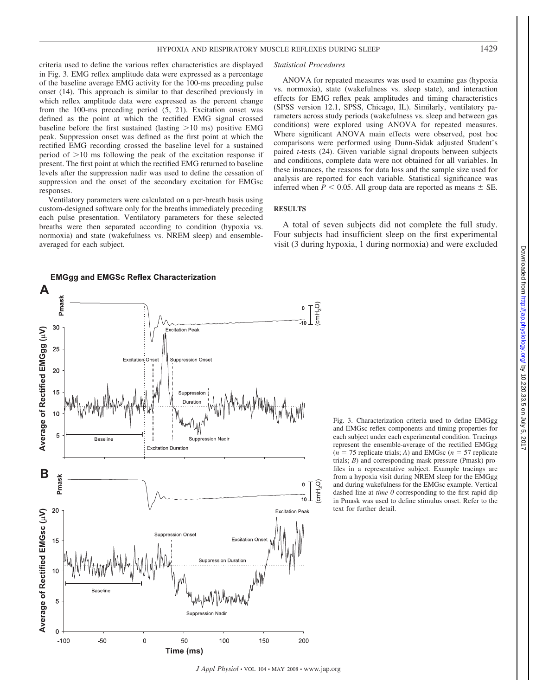criteria used to define the various reflex characteristics are displayed in Fig. 3. EMG reflex amplitude data were expressed as a percentage of the baseline average EMG activity for the 100-ms preceding pulse onset (14). This approach is similar to that described previously in which reflex amplitude data were expressed as the percent change from the 100-ms preceding period (5, 21). Excitation onset was defined as the point at which the rectified EMG signal crossed baseline before the first sustained (lasting  $>10$  ms) positive EMG peak. Suppression onset was defined as the first point at which the rectified EMG recording crossed the baseline level for a sustained period of  $>10$  ms following the peak of the excitation response if present. The first point at which the rectified EMG returned to baseline levels after the suppression nadir was used to define the cessation of suppression and the onset of the secondary excitation for EMGsc responses.

Ventilatory parameters were calculated on a per-breath basis using custom-designed software only for the breaths immediately preceding each pulse presentation. Ventilatory parameters for these selected breaths were then separated according to condition (hypoxia vs. normoxia) and state (wakefulness vs. NREM sleep) and ensembleaveraged for each subject.

#### *Statistical Procedures*

ANOVA for repeated measures was used to examine gas (hypoxia vs. normoxia), state (wakefulness vs. sleep state), and interaction effects for EMG reflex peak amplitudes and timing characteristics (SPSS version 12.1, SPSS, Chicago, IL). Similarly, ventilatory parameters across study periods (wakefulness vs. sleep and between gas conditions) were explored using ANOVA for repeated measures. Where significant ANOVA main effects were observed, post hoc comparisons were performed using Dunn-Sidak adjusted Student's paired *t*-tests (24). Given variable signal dropouts between subjects and conditions, complete data were not obtained for all variables. In these instances, the reasons for data loss and the sample size used for analysis are reported for each variable. Statistical significance was inferred when  $P < 0.05$ . All group data are reported as means  $\pm$  SE.

# **RESULTS**

A total of seven subjects did not complete the full study. Four subjects had insufficient sleep on the first experimental visit (3 during hypoxia, 1 during normoxia) and were excluded



Fig. 3. Characterization criteria used to define EMGgg and EMGsc reflex components and timing properties for each subject under each experimental condition. Tracings represent the ensemble-average of the rectified EMGgg  $(n = 75$  replicate trials; *A*) and EMGsc  $(n = 57$  replicate trials; *B*) and corresponding mask pressure (Pmask) profiles in a representative subject. Example tracings are from a hypoxia visit during NREM sleep for the EMGgg and during wakefulness for the EMGsc example. Vertical dashed line at *time 0* corresponding to the first rapid dip in Pmask was used to define stimulus onset. Refer to the text for further detail.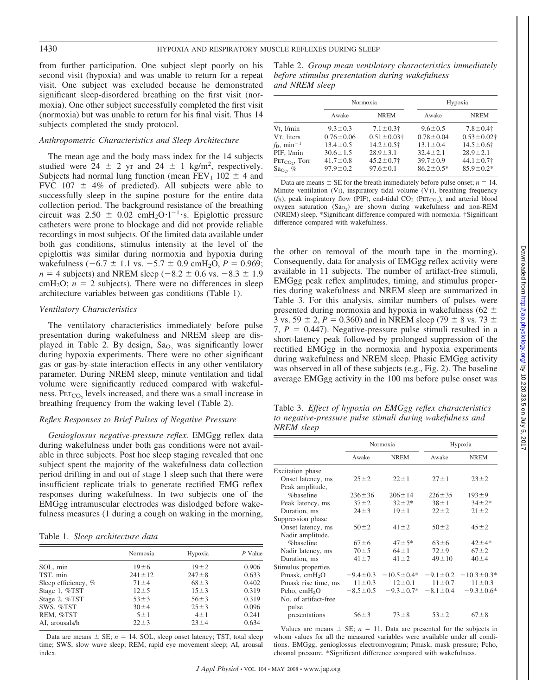from further participation. One subject slept poorly on his second visit (hypoxia) and was unable to return for a repeat visit. One subject was excluded because he demonstrated significant sleep-disordered breathing on the first visit (normoxia). One other subject successfully completed the first visit (normoxia) but was unable to return for his final visit. Thus 14 subjects completed the study protocol.

## *Anthropometric Characteristics and Sleep Architecture*

The mean age and the body mass index for the 14 subjects studied were  $24 \pm 2$  yr and  $24 \pm 1$  kg/m<sup>2</sup>, respectively. Subjects had normal lung function (mean  $FEV_1$  102  $\pm$  4 and FVC 107  $\pm$  4% of predicted). All subjects were able to successfully sleep in the supine posture for the entire data collection period. The background resistance of the breathing circuit was  $2.50 \pm 0.02$  cmH<sub>2</sub>O·l<sup>-1</sup>·s. Epiglottic pressure catheters were prone to blockage and did not provide reliable recordings in most subjects. Of the limited data available under both gas conditions, stimulus intensity at the level of the epiglottis was similar during normoxia and hypoxia during wakefulness  $(-6.7 \pm 1.1 \text{ vs. } -5.7 \pm 0.9 \text{ cmH}_2\text{O}, P = 0.969;$  $n = 4$  subjects) and NREM sleep ( $-8.2 \pm 0.6$  vs.  $-8.3 \pm 1.9$  $cmH<sub>2</sub>O$ ;  $n = 2$  subjects). There were no differences in sleep architecture variables between gas conditions (Table 1).

# *Ventilatory Characteristics*

The ventilatory characteristics immediately before pulse presentation during wakefulness and NREM sleep are displayed in Table 2. By design,  $Sa<sub>O</sub>$ , was significantly lower during hypoxia experiments. There were no other significant gas or gas-by-state interaction effects in any other ventilatory parameter. During NREM sleep, minute ventilation and tidal volume were significantly reduced compared with wakefulness.  $PET_{CO_2}$  levels increased, and there was a small increase in breathing frequency from the waking level (Table 2).

# *Reflex Responses to Brief Pulses of Negative Pressure*

*Genioglossus negative-pressure reflex.* EMGgg reflex data during wakefulness under both gas conditions were not available in three subjects. Post hoc sleep staging revealed that one subject spent the majority of the wakefulness data collection period drifting in and out of stage 1 sleep such that there were insufficient replicate trials to generate rectified EMG reflex responses during wakefulness. In two subjects one of the EMGgg intramuscular electrodes was dislodged before wakefulness measures (1 during a cough on waking in the morning,

Table 1. *Sleep architecture data*

| Normoxia     | Hypoxia     | P Value |
|--------------|-------------|---------|
|              |             |         |
| 19:56        | $19 + 2$    | 0.906   |
| $241 \pm 12$ | $247 \pm 8$ | 0.633   |
| $71 \pm 4$   | $68 \pm 3$  | 0.402   |
| $12 + 5$     | $15 \pm 3$  | 0.319   |
| $53 \pm 3$   | $56 \pm 3$  | 0.319   |
| $30 \pm 4$   | $25 \pm 3$  | 0.096   |
| $5 \pm 1$    | $4 + 1$     | 0.241   |
| $22 \pm 3$   | $23 + 4$    | 0.634   |
|              |             |         |

Data are means  $\pm$  SE;  $n = 14$ . SOL, sleep onset latency; TST, total sleep time; SWS, slow wave sleep; REM, rapid eye movement sleep; AI, arousal index.

Table 2. *Group mean ventilatory characteristics immediately before stimulus presentation during wakefulness and NREM sleep*

|                                 |                 | Normoxia                     |                 | Hypoxia                      |  |  |
|---------------------------------|-----------------|------------------------------|-----------------|------------------------------|--|--|
|                                 | Awake           | <b>NREM</b>                  | Awake           | <b>NREM</b>                  |  |  |
| $Vi.$ 1/min                     | $9.3 \pm 0.3$   | $7.1 \pm 0.3$ †              | $9.6 \pm 0.5$   | $7.8 \pm 0.4$ †              |  |  |
| V <sub>T</sub> . liters         | $0.76 \pm 0.06$ | $0.51 \pm 0.03$ <sup>+</sup> | $0.78 \pm 0.04$ | $0.53 \pm 0.02$ <sup>+</sup> |  |  |
| $f_{\rm B}$ , min <sup>-1</sup> | $13.4 \pm 0.5$  | $14.2 \pm 0.5$ †             | $13.1 \pm 0.4$  | $14.5 \pm 0.6$ †             |  |  |
| PIF, 1/min                      | $30.6 \pm 1.5$  | $28.9 \pm 3.1$               | $32.4 \pm 2.1$  | $28.9 \pm 2.1$               |  |  |
| $PETCO2$ , Torr                 | $41.7 \pm 0.8$  | $45.2 \pm 0.7$ †             | $39.7 \pm 0.9$  | $44.1 \pm 0.7$               |  |  |
| Sa <sub>O</sub> , $%$           | $97.9 \pm 0.2$  | $97.6 \pm 0.1$               | $86.2 \pm 0.5*$ | $85.9 \pm 0.2*$              |  |  |

Data are means  $\pm$  SE for the breath immediately before pulse onset;  $n = 14$ . Minute ventilation  $(VI)$ , inspiratory tidal volume  $(VI)$ , breathing frequency  $(f_B)$ , peak inspiratory flow (PIF), end-tidal  $CO_2$  (P $ETCO<sub>2</sub>$ ), and arterial blood oxygen saturation  $(Sa<sub>O2</sub>)$  are shown during wakefulness and non-REM (NREM) sleep. \*Significant difference compared with normoxia. †Significant difference compared with wakefulness.

the other on removal of the mouth tape in the morning). Consequently, data for analysis of EMGgg reflex activity were available in 11 subjects. The number of artifact-free stimuli, EMGgg peak reflex amplitudes, timing, and stimulus properties during wakefulness and NREM sleep are summarized in Table 3. For this analysis, similar numbers of pulses were presented during normoxia and hypoxia in wakefulness ( $62 \pm$ 3 vs. 59  $\pm$  2, *P* = 0.360) and in NREM sleep (79  $\pm$  8 vs. 73  $\pm$ 7,  $P = 0.447$ ). Negative-pressure pulse stimuli resulted in a short-latency peak followed by prolonged suppression of the rectified EMGgg in the normoxia and hypoxia experiments during wakefulness and NREM sleep. Phasic EMGgg activity was observed in all of these subjects (e.g., Fig. 2). The baseline average EMGgg activity in the 100 ms before pulse onset was

Table 3. *Effect of hypoxia on EMGgg reflex characteristics to negative-pressure pulse stimuli during wakefulness and NREM sleep*

|                               | Normoxia       |                  |                | Hypoxia          |
|-------------------------------|----------------|------------------|----------------|------------------|
|                               | Awake          | <b>NREM</b>      | Awake          | <b>NREM</b>      |
| Excitation phase              |                |                  |                |                  |
| Onset latency, ms             | $25 + 2$       | $22 \pm 1$       | $27 \pm 1$     | $23 + 2$         |
| Peak amplitude,               |                |                  |                |                  |
| %baseline                     | $236 \pm 36$   | $206 \pm 14$     | $226 \pm 35$   | $193 + 9$        |
| Peak latency, ms              | $37 + 2$       | $32 \pm 2*$      | $38 \pm 1$     | $34 \pm 2*$      |
| Duration, ms                  | $24 \pm 3$     | $19 \pm 1$       | $22 \pm 2$     | $21 \pm 2$       |
| Suppression phase             |                |                  |                |                  |
| Onset latency, ms             | $50 \pm 2$     | $41 \pm 2$       | $50 \pm 2$     | $45 \pm 2$       |
| Nadir amplitude,              |                |                  |                |                  |
| %baseline                     | $67 + 6$       | $47 + 5*$        | $63 \pm 6$     | $42 + 4*$        |
| Nadir latency, ms             | $70 \pm 5$     | $64 \pm 1$       | $72 + 9$       | $67 + 2$         |
| Duration, ms                  | $41 \pm 7$     | $41 \pm 2$       | $49 \pm 10$    | $40 \pm 4$       |
| Stimulus properties           |                |                  |                |                  |
| Pmask, $cmH2O$                | $-9.4 \pm 0.3$ | $-10.5 \pm 0.4*$ | $-9.1 \pm 0.2$ | $-10.3 \pm 0.3*$ |
| Pmask rise time, ms           | $11 \pm 0.3$   | $12 \pm 0.1$     | $11 \pm 0.7$   | $11 \pm 0.3$     |
| Pcho, $cmH2O$                 | $-8.5 \pm 0.5$ | $-9.3 \pm 0.7^*$ | $-8.1 \pm 0.4$ | $-9.3 \pm 0.6*$  |
| No. of artifact-free<br>pulse |                |                  |                |                  |
| presentations                 | $56 + 3$       | $73 \pm 8$       | $53 \pm 2$     | $67 \pm 8$       |

Values are means  $\pm$  SE;  $n = 11$ . Data are presented for the subjects in whom values for all the measured variables were available under all conditions. EMGgg, genioglossus electromyogram; Pmask, mask pressure; Pcho, choanal pressure. \*Significant difference compared with wakefulness.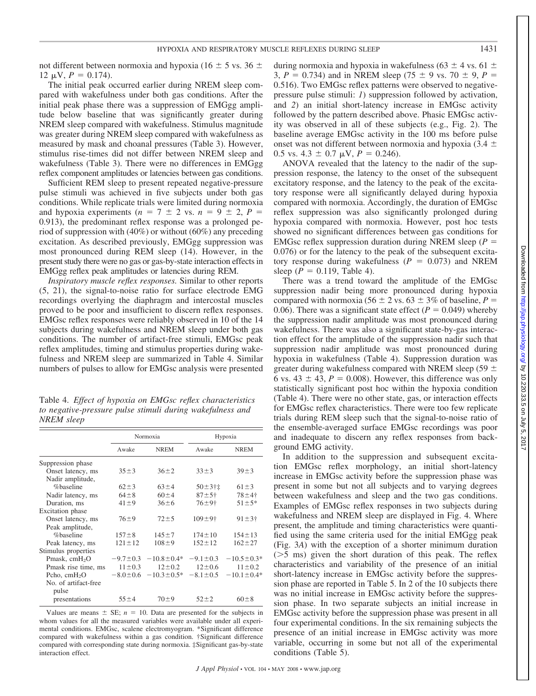not different between normoxia and hypoxia (16  $\pm$  5 vs. 36  $\pm$  $12 \mu V$ ,  $P = 0.174$ ).

The initial peak occurred earlier during NREM sleep compared with wakefulness under both gas conditions. After the initial peak phase there was a suppression of EMGgg amplitude below baseline that was significantly greater during NREM sleep compared with wakefulness. Stimulus magnitude was greater during NREM sleep compared with wakefulness as measured by mask and choanal pressures (Table 3). However, stimulus rise-times did not differ between NREM sleep and wakefulness (Table 3). There were no differences in EMGgg reflex component amplitudes or latencies between gas conditions.

Sufficient REM sleep to present repeated negative-pressure pulse stimuli was achieved in five subjects under both gas conditions. While replicate trials were limited during normoxia and hypoxia experiments ( $n = 7 \pm 2$  vs.  $n = 9 \pm 2$ ,  $P =$ 0.913), the predominant reflex response was a prolonged period of suppression with (40%) or without (60%) any preceding excitation. As described previously, EMGgg suppression was most pronounced during REM sleep (14). However, in the present study there were no gas or gas-by-state interaction effects in EMGgg reflex peak amplitudes or latencies during REM.

*Inspiratory muscle reflex responses.* Similar to other reports (5, 21), the signal-to-noise ratio for surface electrode EMG recordings overlying the diaphragm and intercostal muscles proved to be poor and insufficient to discern reflex responses. EMGsc reflex responses were reliably observed in 10 of the 14 subjects during wakefulness and NREM sleep under both gas conditions. The number of artifact-free stimuli, EMGsc peak reflex amplitudes, timing and stimulus properties during wakefulness and NREM sleep are summarized in Table 4. Similar numbers of pulses to allow for EMGsc analysis were presented

Table 4. *Effect of hypoxia on EMGsc reflex characteristics to negative-pressure pulse stimuli during wakefulness and NREM sleep*

|                      | Normoxia       |                  |                       | Hypoxia                 |
|----------------------|----------------|------------------|-----------------------|-------------------------|
|                      | Awake          | <b>NREM</b>      | Awake                 | <b>NREM</b>             |
| Suppression phase    |                |                  |                       |                         |
| Onset latency, ms    | $35 \pm 3$     | $36 \pm 2$       | $33 \pm 3$            | $39 \pm 3$              |
| Nadir amplitude,     |                |                  |                       |                         |
| %baseline            | $62 \pm 3$     | $63 \pm 4$       | $50 + 3 + 1$          | $61 \pm 3$              |
| Nadir latency, ms    | $64 \pm 8$     | $60 \pm 4$       | $87 + 5 +$            | $78 + 4$ †              |
| Duration, ms         | $41 \pm 9$     | $36 \pm 6$       | $76 + 9$ <sup>+</sup> | $51 \pm 5*$             |
| Excitation phase     |                |                  |                       |                         |
| Onset latency, ms    | $76 + 9$       | $72 + 5$         | $109 + 9$ †           | $91 \pm 3$ <sup>+</sup> |
| Peak amplitude,      |                |                  |                       |                         |
| %baseline            | $157 \pm 8$    | $145 \pm 7$      | $174 \pm 10$          | $154 \pm 13$            |
| Peak latency, ms     | $121 \pm 12$   | $108 + 9$        | $152 \pm 12$          | $162 + 27$              |
| Stimulus properties  |                |                  |                       |                         |
| Pmask, $cmH2O$       | $-9.7 \pm 0.3$ | $-10.8 \pm 0.4*$ | $-9.1 \pm 0.3$        | $-10.5 \pm 0.3*$        |
| Pmask rise time, ms  | $11 \pm 0.3$   | $12 \pm 0.2$     | $12 \pm 0.6$          | $11 \pm 0.2$            |
| Pcho, $cmH2O$        | $-8.0 \pm 0.6$ | $-10.3 \pm 0.5*$ | $-8.1 \pm 0.5$        | $-10.1 \pm 0.4*$        |
| No. of artifact-free |                |                  |                       |                         |
| pulse                |                |                  |                       |                         |
| presentations        | $55 \pm 4$     | $70 + 9$         | $52 + 2$              | $60 \pm 8$              |

Values are means  $\pm$  SE;  $n = 10$ . Data are presented for the subjects in whom values for all the measured variables were available under all experimental conditions. EMGsc, scalene electromyogram. \*Significant difference compared with wakefulness within a gas condition. †Significant difference compared with corresponding state during normoxia. ‡Significant gas-by-state interaction effect.

during normoxia and hypoxia in wakefulness (63  $\pm$  4 vs. 61  $\pm$ 3,  $P = 0.734$ ) and in NREM sleep (75  $\pm$  9 vs. 70  $\pm$  9,  $P =$ 0.516). Two EMGsc reflex patterns were observed to negativepressure pulse stimuli: *1*) suppression followed by activation, and *2*) an initial short-latency increase in EMGsc activity followed by the pattern described above. Phasic EMGsc activity was observed in all of these subjects (e.g., Fig. 2). The baseline average EMGsc activity in the 100 ms before pulse onset was not different between normoxia and hypoxia (3.4  $\pm$ 0.5 vs. 4.3  $\pm$  0.7  $\mu$ V, *P* = 0.246).

ANOVA revealed that the latency to the nadir of the suppression response, the latency to the onset of the subsequent excitatory response, and the latency to the peak of the excitatory response were all significantly delayed during hypoxia compared with normoxia. Accordingly, the duration of EMGsc reflex suppression was also significantly prolonged during hypoxia compared with normoxia. However, post hoc tests showed no significant differences between gas conditions for EMGsc reflex suppression duration during NREM sleep (*P* 0.076) or for the latency to the peak of the subsequent excitatory response during wakefulness  $(P = 0.073)$  and NREM sleep ( $P = 0.119$ , Table 4).

There was a trend toward the amplitude of the EMGsc suppression nadir being more pronounced during hypoxia compared with normoxia (56  $\pm$  2 vs. 63  $\pm$  3% of baseline, *P* = 0.06). There was a significant state effect  $(P = 0.049)$  whereby the suppression nadir amplitude was most pronounced during wakefulness. There was also a significant state-by-gas interaction effect for the amplitude of the suppression nadir such that suppression nadir amplitude was most pronounced during hypoxia in wakefulness (Table 4). Suppression duration was greater during wakefulness compared with NREM sleep (59  $\pm$ 6 vs. 43  $\pm$  43,  $P = 0.008$ ). However, this difference was only statistically significant post hoc within the hypoxia condition (Table 4). There were no other state, gas, or interaction effects for EMGsc reflex characteristics. There were too few replicate trials during REM sleep such that the signal-to-noise ratio of the ensemble-averaged surface EMGsc recordings was poor and inadequate to discern any reflex responses from background EMG activity.

In addition to the suppression and subsequent excitation EMGsc reflex morphology, an initial short-latency increase in EMGsc activity before the suppression phase was present in some but not all subjects and to varying degrees between wakefulness and sleep and the two gas conditions. Examples of EMGsc reflex responses in two subjects during wakefulness and NREM sleep are displayed in Fig. 4. Where present, the amplitude and timing characteristics were quantified using the same criteria used for the initial EMGgg peak (Fig. 3*A*) with the exception of a shorter minimum duration  $(55 \text{ ms})$  given the short duration of this peak. The reflex characteristics and variability of the presence of an initial short-latency increase in EMGsc activity before the suppression phase are reported in Table 5. In 2 of the 10 subjects there was no initial increase in EMGsc activity before the suppression phase. In two separate subjects an initial increase in EMGsc activity before the suppression phase was present in all four experimental conditions. In the six remaining subjects the presence of an initial increase in EMGsc activity was more variable, occurring in some but not all of the experimental conditions (Table 5).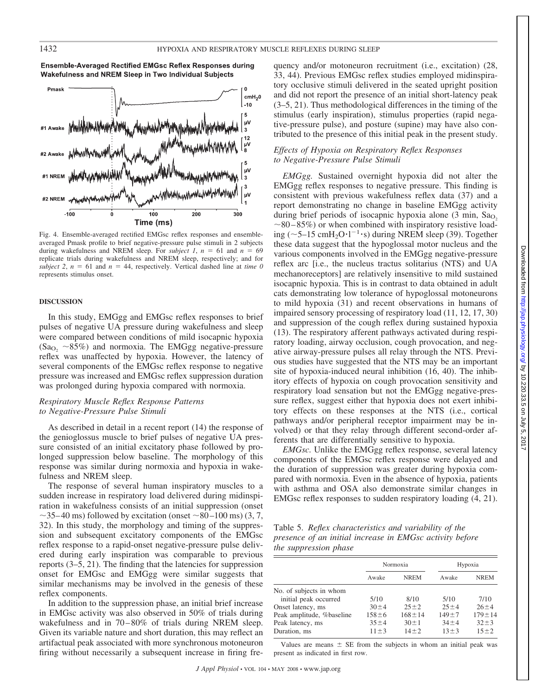Ensemble-Averaged Rectified EMGsc Reflex Responses during Wakefulness and NREM Sleep in Two Individual Subjects



Fig. 4. Ensemble-averaged rectified EMGsc reflex responses and ensembleaveraged Pmask profile to brief negative-pressure pulse stimuli in 2 subjects during wakefulness and NREM sleep. For *subject 1*,  $n = 61$  and  $n = 69$ replicate trials during wakefulness and NREM sleep, respectively; and for *subject 2, n* = 61 and  $n = 44$ , respectively. Vertical dashed line at *time 0* represents stimulus onset.

#### **DISCUSSION**

In this study, EMGgg and EMGsc reflex responses to brief pulses of negative UA pressure during wakefulness and sleep were compared between conditions of mild isocapnic hypoxia  $(Sa<sub>O</sub>, ~85%)$  and normoxia. The EMGgg negative-pressure reflex was unaffected by hypoxia. However, the latency of several components of the EMGsc reflex response to negative pressure was increased and EMGsc reflex suppression duration was prolonged during hypoxia compared with normoxia.

# *Respiratory Muscle Reflex Response Patterns to Negative-Pressure Pulse Stimuli*

As described in detail in a recent report (14) the response of the genioglossus muscle to brief pulses of negative UA pressure consisted of an initial excitatory phase followed by prolonged suppression below baseline. The morphology of this response was similar during normoxia and hypoxia in wakefulness and NREM sleep.

The response of several human inspiratory muscles to a sudden increase in respiratory load delivered during midinspiration in wakefulness consists of an initial suppression (onset  $\sim$ 35–40 ms) followed by excitation (onset  $\sim$ 80–100 ms) (3, 7, 32). In this study, the morphology and timing of the suppression and subsequent excitatory components of the EMGsc reflex response to a rapid-onset negative-pressure pulse delivered during early inspiration was comparable to previous reports (3–5, 21). The finding that the latencies for suppression onset for EMGsc and EMGgg were similar suggests that similar mechanisms may be involved in the genesis of these reflex components.

In addition to the suppression phase, an initial brief increase in EMGsc activity was also observed in 50% of trials during wakefulness and in 70–80% of trials during NREM sleep. Given its variable nature and short duration, this may reflect an artifactual peak associated with more synchronous motoneuron firing without necessarily a subsequent increase in firing frequency and/or motoneuron recruitment (i.e., excitation) (28, 33, 44). Previous EMGsc reflex studies employed midinspiratory occlusive stimuli delivered in the seated upright position and did not report the presence of an initial short-latency peak (3–5, 21). Thus methodological differences in the timing of the stimulus (early inspiration), stimulus properties (rapid negative-pressure pulse), and posture (supine) may have also contributed to the presence of this initial peak in the present study.

# *Effects of Hypoxia on Respiratory Reflex Responses to Negative-Pressure Pulse Stimuli*

*EMGgg.* Sustained overnight hypoxia did not alter the EMGgg reflex responses to negative pressure. This finding is consistent with previous wakefulness reflex data (37) and a report demonstrating no change in baseline EMGgg activity during brief periods of isocapnic hypoxia alone  $(3 \text{ min}, S_{4<sub>O</sub>})$  $\sim$ 80–85%) or when combined with inspiratory resistive loading (~5–15 cmH<sub>2</sub>O·l<sup>-1</sup>·s) during NREM sleep (39). Together these data suggest that the hypoglossal motor nucleus and the various components involved in the EMGgg negative-pressure reflex arc [i.e., the nucleus tractus solitarius (NTS) and UA mechanoreceptors] are relatively insensitive to mild sustained isocapnic hypoxia. This is in contrast to data obtained in adult cats demonstrating low tolerance of hypoglossal motoneurons to mild hypoxia (31) and recent observations in humans of impaired sensory processing of respiratory load (11, 12, 17, 30) and suppression of the cough reflex during sustained hypoxia (13). The respiratory afferent pathways activated during respiratory loading, airway occlusion, cough provocation, and negative airway-pressure pulses all relay through the NTS. Previous studies have suggested that the NTS may be an important site of hypoxia-induced neural inhibition (16, 40). The inhibitory effects of hypoxia on cough provocation sensitivity and respiratory load sensation but not the EMGgg negative-pressure reflex, suggest either that hypoxia does not exert inhibitory effects on these responses at the NTS (i.e., cortical pathways and/or peripheral receptor impairment may be involved) or that they relay through different second-order afferents that are differentially sensitive to hypoxia.

*EMGsc.* Unlike the EMGgg reflex response, several latency components of the EMGsc reflex response were delayed and the duration of suppression was greater during hypoxia compared with normoxia. Even in the absence of hypoxia, patients with asthma and OSA also demonstrate similar changes in EMGsc reflex responses to sudden respiratory loading (4, 21).

Table 5. *Reflex characteristics and variability of the presence of an initial increase in EMGsc activity before the suppression phase*

|                           | Normoxia   |              | Hypoxia    |              |
|---------------------------|------------|--------------|------------|--------------|
|                           | Awake      | <b>NREM</b>  | Awake      | <b>NREM</b>  |
| No. of subjects in whom   |            |              |            |              |
| initial peak occurred     | 5/10       | 8/10         | 5/10       | 7/10         |
| Onset latency, ms         | $30 \pm 4$ | $25 + 2$     | $25 + 4$   | $26 \pm 4$   |
| Peak amplitude, %baseline | $158 + 6$  | $168 \pm 14$ | $149 + 7$  | $179 \pm 14$ |
| Peak latency, ms          | $35 + 4$   | $30 \pm 1$   | $34 + 4$   | $32 + 3$     |
| Duration, ms              | $11 \pm 3$ | $14 + 2$     | $13 \pm 3$ | $15 + 2$     |

Values are means  $\pm$  SE from the subjects in whom an initial peak was present as indicated in first row.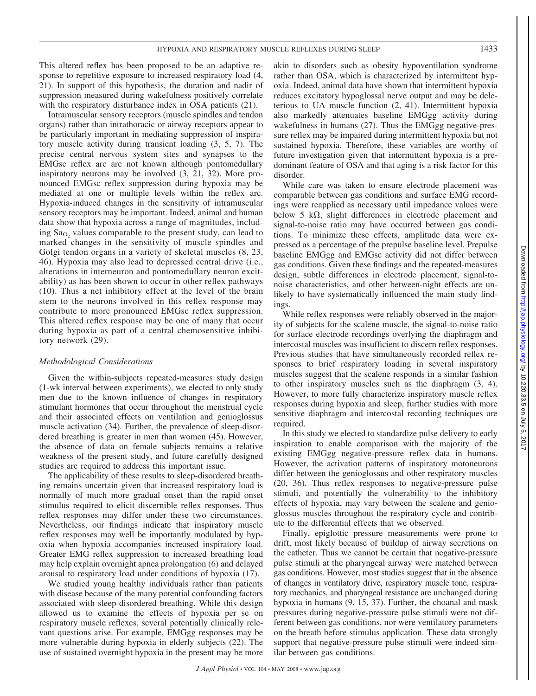This altered reflex has been proposed to be an adaptive response to repetitive exposure to increased respiratory load (4, 21). In support of this hypothesis, the duration and nadir of suppression measured during wakefulness positively correlate with the respiratory disturbance index in OSA patients  $(21)$ .

Intramuscular sensory receptors (muscle spindles and tendon organs) rather than intrathoracic or airway receptors appear to be particularly important in mediating suppression of inspiratory muscle activity during transient loading (3, 5, 7). The precise central nervous system sites and synapses to the EMGsc reflex arc are not known although pontomedullary inspiratory neurons may be involved (3, 21, 32). More pronounced EMGsc reflex suppression during hypoxia may be mediated at one or multiple levels within the reflex arc. Hypoxia-induced changes in the sensitivity of intramuscular sensory receptors may be important. Indeed, animal and human data show that hypoxia across a range of magnitudes, including Sa<sub>O<sub>2</sub></sub> values comparable to the present study, can lead to marked changes in the sensitivity of muscle spindles and Golgi tendon organs in a variety of skeletal muscles (8, 23, 46). Hypoxia may also lead to depressed central drive (i.e., alterations in interneuron and pontomedullary neuron excitability) as has been shown to occur in other reflex pathways (10). Thus a net inhibitory effect at the level of the brain stem to the neurons involved in this reflex response may contribute to more pronounced EMGsc reflex suppression. This altered reflex response may be one of many that occur during hypoxia as part of a central chemosensitive inhibitory network (29).

# *Methodological Considerations*

Given the within-subjects repeated-measures study design (1-wk interval between experiments), we elected to only study men due to the known influence of changes in respiratory stimulant hormones that occur throughout the menstrual cycle and their associated effects on ventilation and genioglossus muscle activation (34). Further, the prevalence of sleep-disordered breathing is greater in men than women (45). However, the absence of data on female subjects remains a relative weakness of the present study, and future carefully designed studies are required to address this important issue.

The applicability of these results to sleep-disordered breathing remains uncertain given that increased respiratory load is normally of much more gradual onset than the rapid onset stimulus required to elicit discernible reflex responses. Thus reflex responses may differ under these two circumstances. Nevertheless, our findings indicate that inspiratory muscle reflex responses may well be importantly modulated by hypoxia when hypoxia accompanies increased inspiratory load. Greater EMG reflex suppression to increased breathing load may help explain overnight apnea prolongation (6) and delayed arousal to respiratory load under conditions of hypoxia (17).

We studied young healthy individuals rather than patients with disease because of the many potential confounding factors associated with sleep-disordered breathing. While this design allowed us to examine the effects of hypoxia per se on respiratory muscle reflexes, several potentially clinically relevant questions arise. For example, EMGgg responses may be more vulnerable during hypoxia in elderly subjects (22). The use of sustained overnight hypoxia in the present may be more akin to disorders such as obesity hypoventilation syndrome rather than OSA, which is characterized by intermittent hypoxia. Indeed, animal data have shown that intermittent hypoxia reduces excitatory hypoglossal nerve output and may be deleterious to UA muscle function (2, 41). Intermittent hypoxia also markedly attenuates baseline EMGgg activity during wakefulness in humans (27). Thus the EMGgg negative-pressure reflex may be impaired during intermittent hypoxia but not sustained hypoxia. Therefore, these variables are worthy of future investigation given that intermittent hypoxia is a predominant feature of OSA and that aging is a risk factor for this disorder.

While care was taken to ensure electrode placement was comparable between gas conditions and surface EMG recordings were reapplied as necessary until impedance values were below 5 k $\Omega$ , slight differences in electrode placement and signal-to-noise ratio may have occurred between gas conditions. To minimize these effects, amplitude data were expressed as a percentage of the prepulse baseline level. Prepulse baseline EMGgg and EMGsc activity did not differ between gas conditions. Given these findings and the repeated-measures design, subtle differences in electrode placement, signal-tonoise characteristics, and other between-night effects are unlikely to have systematically influenced the main study findings.

While reflex responses were reliably observed in the majority of subjects for the scalene muscle, the signal-to-noise ratio for surface electrode recordings overlying the diaphragm and intercostal muscles was insufficient to discern reflex responses. Previous studies that have simultaneously recorded reflex responses to brief respiratory loading in several inspiratory muscles suggest that the scalene responds in a similar fashion to other inspiratory muscles such as the diaphragm (3, 4). However, to more fully characterize inspiratory muscle reflex responses during hypoxia and sleep, further studies with more sensitive diaphragm and intercostal recording techniques are required.

In this study we elected to standardize pulse delivery to early inspiration to enable comparison with the majority of the existing EMGgg negative-pressure reflex data in humans. However, the activation patterns of inspiratory motoneurons differ between the genioglossus and other respiratory muscles (20, 36). Thus reflex responses to negative-pressure pulse stimuli, and potentially the vulnerability to the inhibitory effects of hypoxia, may vary between the scalene and genioglossus muscles throughout the respiratory cycle and contribute to the differential effects that we observed.

Finally, epiglottic pressure measurements were prone to drift, most likely because of buildup of airway secretions on the catheter. Thus we cannot be certain that negative-pressure pulse stimuli at the pharyngeal airway were matched between gas conditions. However, most studies suggest that in the absence of changes in ventilatory drive, respiratory muscle tone, respiratory mechanics, and pharyngeal resistance are unchanged during hypoxia in humans (9, 15, 37). Further, the choanal and mask pressures during negative-pressure pulse stimuli were not different between gas conditions, nor were ventilatory parameters on the breath before stimulus application. These data strongly support that negative-pressure pulse stimuli were indeed similar between gas conditions.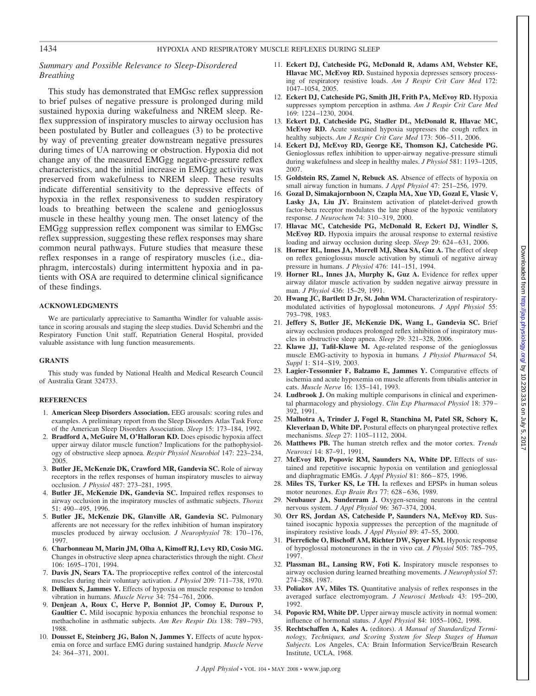# 1434 HYPOXIA AND RESPIRATORY MUSCLE REFLEXES DURING SLEEP

# *Summary and Possible Relevance to Sleep-Disordered Breathing*

This study has demonstrated that EMGsc reflex suppression to brief pulses of negative pressure is prolonged during mild sustained hypoxia during wakefulness and NREM sleep. Reflex suppression of inspiratory muscles to airway occlusion has been postulated by Butler and colleagues (3) to be protective by way of preventing greater downstream negative pressures during times of UA narrowing or obstruction. Hypoxia did not change any of the measured EMGgg negative-pressure reflex characteristics, and the initial increase in EMGgg activity was preserved from wakefulness to NREM sleep. These results indicate differential sensitivity to the depressive effects of hypoxia in the reflex responsiveness to sudden respiratory loads to breathing between the scalene and genioglossus muscle in these healthy young men. The onset latency of the EMGgg suppression reflex component was similar to EMGsc reflex suppression, suggesting these reflex responses may share common neural pathways. Future studies that measure these reflex responses in a range of respiratory muscles (i.e., diaphragm, intercostals) during intermittent hypoxia and in patients with OSA are required to determine clinical significance of these findings.

# **ACKNOWLEDGMENTS**

We are particularly appreciative to Samantha Windler for valuable assistance in scoring arousals and staging the sleep studies. David Schembri and the Respiratory Function Unit staff, Repatriation General Hospital, provided valuable assistance with lung function measurements.

# **GRANTS**

This study was funded by National Health and Medical Research Council of Australia Grant 324733.

# **REFERENCES**

- 1. **American Sleep Disorders Association.** EEG arousals: scoring rules and examples. A preliminary report from the Sleep Disorders Atlas Task Force of the American Sleep Disorders Association. *Sleep* 15: 173–184, 1992.
- 2. **Bradford A, McGuire M, O'Halloran KD.** Does episodic hypoxia affect upper airway dilator muscle function? Implications for the pathophysiology of obstructive sleep apnoea*. Respir Physiol Neurobiol* 147: 223–234, 2005.
- 3. **Butler JE, McKenzie DK, Crawford MR, Gandevia SC.** Role of airway receptors in the reflex responses of human inspiratory muscles to airway occlusion. *J Physiol* 487: 273–281, 1995.
- 4. **Butler JE, McKenzie DK, Gandevia SC.** Impaired reflex responses to airway occlusion in the inspiratory muscles of asthmatic subjects. *Thorax* 51: 490 – 495, 1996.
- 5. **Butler JE, McKenzie DK, Glanville AR, Gandevia SC.** Pulmonary afferents are not necessary for the reflex inhibition of human inspiratory muscles produced by airway occlusion. *J Neurophysiol* 78: 170-176, 1997.
- 6. **Charbonneau M, Marin JM, Olha A, Kimoff RJ, Levy RD, Cosio MG.** Changes in obstructive sleep apnea characteristics through the night. *Chest* 106: 1695–1701, 1994.
- 7. **Davis JN, Sears TA.** The proprioceptive reflex control of the intercostal muscles during their voluntary activation. *J Physiol* 209: 711–738, 1970.
- 8. **Delliaux S, Jammes Y.** Effects of hypoxia on muscle response to tendon vibration in humans. *Muscle Nerve* 34: 754 –761, 2006.
- 9. **Denjean A, Roux C, Herve P, Bonniot JP, Comoy E, Duroux P, Gaultier C.** Mild isocapnic hypoxia enhances the bronchial response to methacholine in asthmatic subjects. *Am Rev Respir Dis* 138: 789 –793, 1988.
- 10. **Dousset E, Steinberg JG, Balon N, Jammes Y.** Effects of acute hypoxemia on force and surface EMG during sustained handgrip. *Muscle Nerve* 24: 364 –371, 2001.
- 11. **Eckert DJ, Catcheside PG, McDonald R, Adams AM, Webster KE, Hlavac MC, McEvoy RD.** Sustained hypoxia depresses sensory processing of respiratory resistive loads. *Am J Respir Crit Care Med* 172: 1047–1054, 2005.
- 12. **Eckert DJ, Catcheside PG, Smith JH, Frith PA, McEvoy RD.** Hypoxia suppresses symptom perception in asthma. *Am J Respir Crit Care Med* 169: 1224 –1230, 2004.
- 13. **Eckert DJ, Catcheside PG, Stadler DL, McDonald R, Hlavac MC, McEvoy RD.** Acute sustained hypoxia suppresses the cough reflex in healthy subjects. Am J Respir Crit Care Med 173: 506-511, 2006.
- 14. **Eckert DJ, McEvoy RD, George KE, Thomson KJ, Catcheside PG.** Genioglossus reflex inhibition to upper-airway negative-pressure stimuli during wakefulness and sleep in healthy males. *J Physiol* 581: 1193–1205, 2007.
- 15. **Goldstein RS, Zamel N, Rebuck AS.** Absence of effects of hypoxia on small airway function in humans. *J Appl Physiol* 47: 251–256, 1979.
- 16. **Gozal D, Simakajornboon N, Czapla MA, Xue YD, Gozal E, Vlasic V,** Lasky JA, Liu JY. Brainstem activation of platelet-derived growth factor-beta receptor modulates the late phase of the hypoxic ventilatory response. *J Neurochem* 74: 310 –319, 2000.
- 17. **Hlavac MC, Catcheside PG, McDonald R, Eckert DJ, Windler S, McEvoy RD.** Hypoxia impairs the arousal response to external resistive loading and airway occlusion during sleep. *Sleep* 29: 624–631, 2006.
- 18. **Horner RL, Innes JA, Morrell MJ, Shea SA, Guz A.** The effect of sleep on reflex genioglossus muscle activation by stimuli of negative airway pressure in humans. *J Physiol* 476: 141–151, 1994.
- 19. **Horner RL, Innes JA, Murphy K, Guz A.** Evidence for reflex upper airway dilator muscle activation by sudden negative airway pressure in man. *J Physiol* 436: 15–29, 1991.
- 20. **Hwang JC, Bartlett D Jr, St. John WM.** Characterization of respiratorymodulated activities of hypoglossal motoneurons*. J Appl Physiol* 55: 793–798, 1983.
- 21. **Jeffery S, Butler JE, McKenzie DK, Wang L, Gandevia SC.** Brief airway occlusion produces prolonged reflex inhibition of inspiratory muscles in obstructive sleep apnea. *Sleep* 29: 321–328, 2006.
- 22. **Klawe JJ, Tafil-Klawe M.** Age-related response of the genioglossus muscle EMG-activity to hypoxia in humans*. J Physiol Pharmacol* 54*, Suppl* 1: S14-S19, 2003.
- 23. **Lagier-Tessonnier F, Balzamo E, Jammes Y.** Comparative effects of ischemia and acute hypoxemia on muscle afferents from tibialis anterior in cats. *Muscle Nerve* 16: 135–141, 1993.
- 24. **Ludbrook J.** On making multiple comparisons in clinical and experimental pharmacology and physiology. *Clin Exp Pharmacol Physiol* 18: 379 – 392, 1991.
- 25. **Malhotra A, Trinder J, Fogel R, Stanchina M, Patel SR, Schory K, Kleverlaan D, White DP.** Postural effects on pharyngeal protective reflex mechanisms. *Sleep* 27: 1105–1112, 2004.
- 26. **Matthews PB.** The human stretch reflex and the motor cortex. *Trends Neurosci* 14: 87–91, 1991.
- 27. **McEvoy RD, Popovic RM, Saunders NA, White DP.** Effects of sustained and repetitive isocapnic hypoxia on ventilation and genioglossal and diaphragmatic EMGs. *J Appl Physiol* 81: 866 – 875, 1996.
- 28. **Miles TS, Turker KS, Le TH.** Ia reflexes and EPSPs in human soleus motor neurones. *Exp Brain Res* 77: 628 – 636, 1989.
- 29. **Neubauer JA, Sunderram J.** Oxygen-sensing neurons in the central nervous system. *J Appl Physiol* 96: 367–374, 2004.
- 30. **Orr RS, Jordan AS, Catcheside P, Saunders NA, McEvoy RD.** Sustained isocapnic hypoxia suppresses the perception of the magnitude of inspiratory resistive loads. *J Appl Physiol* 89: 47–55, 2000.
- 31. **Pierrefiche O, Bischoff AM, Richter DW, Spyer KM.** Hypoxic response of hypoglossal motoneurones in the in vivo cat. *J Physiol* 505: 785–795, 1997.
- 32. **Plassman BL, Lansing RW, Foti K.** Inspiratory muscle responses to airway occlusion during learned breathing movements. *J Neurophysiol* 57: 274 –288, 1987.
- 33. **Poliakov AV, Miles TS.** Quantitative analysis of reflex responses in the averaged surface electromyogram. *J Neurosci Methods* 43: 195–200, 1992.
- 34. **Popovic RM, White DP.** Upper airway muscle activity in normal women: influence of hormonal status. *J Appl Physiol* 84: 1055–1062, 1998.
- 35. **Rechtschaffen A, Kales A.** (editors). *A Manual of Standardized Terminology, Techniques, and Scoring System for Sleep Stages of Human Subjects.* Los Angeles, CA: Brain Information Service/Brain Research Institute, UCLA, 1968.